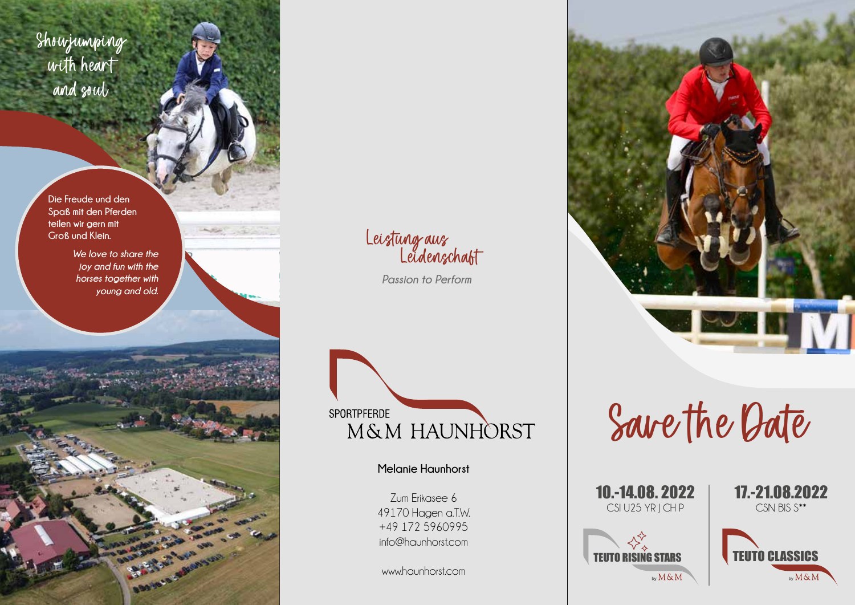Showjumping with heart and soul

> **Die Freude und den Spaß mit den Pferden teilen wir gern mit Groß und Klein.**

> > *We love to share the joy and fun with the horses together with young and old.*

> > > **BOOMAGE**

**Louis** 

Leistung aus Leidenschaft

 *Passion to Perform*



**Melanie Haunhorst**

Zum Erikasee 6 49170 Hagen a.T.W. +49 172 5960995 info@haunhorst.com

www.haunhorst.com